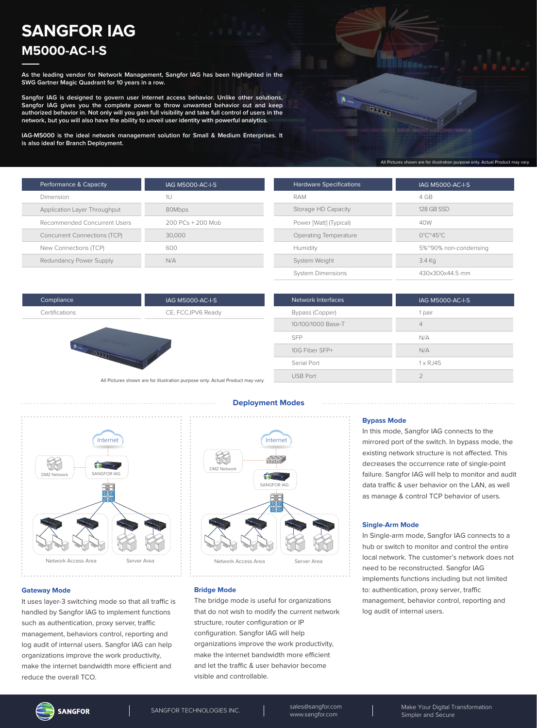## **SANGFOR IAG M5000-AC-I-S**

**As the leading vendor for Network Management, Sangfor IAG has been highlighted in the SWG Gartner Magic Quadrant for 10 years in a row.**

**Sangfor IAG is designed to govern user internet access behavior. Unlike other solutions, Sangfor IAG gives you the complete power to throw unwanted behavior out and keep authorized behavior in. Not only will you gain full visibility and take full control of users in the network, but you will also have the ability to unveil user identity with powerful analytics.**

**IAG-M5000 is the ideal network management solution for Small & Medium Enterprises. It is also ideal for Branch Deployment.**

| Performance & Capacity              | IAG M5000-AC-I-S  |
|-------------------------------------|-------------------|
| Dimension                           | 1l J              |
| Application Layer Throughput        | 80Mbps            |
| Recommended Concurrent Users        | 200 PCs + 200 Mob |
| <b>Concurrent Connections (TCP)</b> | 30,000            |
| New Connections (TCP)               | 600               |
| Redundancy Power Supply             | N/A               |

| <b>Hardware Specifications</b> | <b>IAG M5000-AC-I-S</b>                  |
|--------------------------------|------------------------------------------|
| RAM                            | 4 GB                                     |
| Storage HD Capacity            | 128 GB SSD                               |
| Power [Watt] (Typical)         | 40W                                      |
| Operating Temperature          | $0^{\circ}$ C $^{\circ}$ 45 $^{\circ}$ C |
| Humidity                       | 5%~90% non-condensing                    |
| System Weight                  | 3.4 Kg                                   |
| <b>System Dimensions</b>       | 430x300x44.5 mm                          |

**FREE** 

All Pictures shown are for illustration purpose only. Actual Product may vary.

| Compliance     |
|----------------|
| Certifications |

IAG M5000-AC-I-S CE, FCC,IPV6 Ready



| <b>Network Interfaces</b> | <b>IAG M5000-AC-I-S</b> |
|---------------------------|-------------------------|
| Bypass (Copper)           | 1 pair                  |
| 10/100/1000 Base-T        | $\overline{4}$          |
| SFP                       | N/A                     |
| 10G Fiber SFP+            | N/A                     |
| Serial Port               | $1 \times R$ . 145      |
| <b>USB Port</b>           |                         |

All Pictures shown are for illustration purpose only. Actual Product may vary.



# **Deployment Modes**



#### **Bridge Mode**

The bridge mode is useful for organizations that do not wish to modify the current network structure, router configuration or IP configuration. Sangfor IAG will help organizations improve the work productivity, make the internet bandwidth more efficient and let the traffic & user behavior become visible and controllable.

#### **Bypass Mode**

In this mode, Sangfor IAG connects to the mirrored port of the switch. In bypass mode, the existing network structure is not affected. This decreases the occurrence rate of single-point failure. Sangfor IAG will help to monitor and audit data traffic & user behavior on the LAN, as well as manage & control TCP behavior of users.

#### **Single-Arm Mode**

In Single-arm mode, Sangfor IAG connects to a hub or switch to monitor and control the entire local network. The customer's network does not need to be reconstructed. Sangfor IAG implements functions including but not limited to: authentication, proxy server, traffic management, behavior control, reporting and log audit of internal users.

#### **Gateway Mode**

It uses layer-3 switching mode so that all traffic is handled by Sangfor IAG to implement functions such as authentication, proxy server, traffic management, behaviors control, reporting and log audit of internal users. Sangfor IAG can help organizations improve the work productivity, make the internet bandwidth more efficient and reduce the overall TCO.

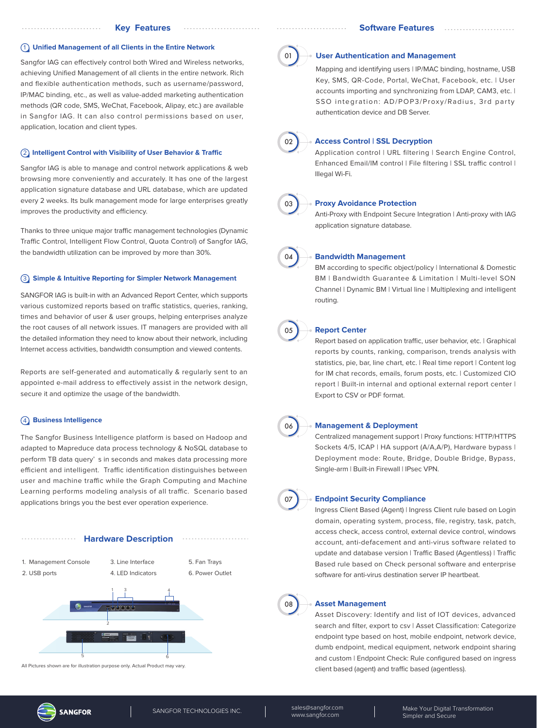#### 1 **Unified Management of all Clients in the Entire Network**

Sangfor IAG can effectively control both Wired and Wireless networks, achieving Unified Management of all clients in the entire network. Rich and flexible authentication methods, such as username/password, IP/MAC binding, etc., as well as value-added marketing authentication methods (QR code, SMS, WeChat, Facebook, Alipay, etc.) are available in Sangfor IAG. It can also control permissions based on user, application, location and client types.

#### **(2) Intelligent Control with Visibility of User Behavior & Traffic**

Sangfor IAG is able to manage and control network applications & web browsing more conveniently and accurately. It has one of the largest application signature database and URL database, which are updated every 2 weeks. Its bulk management mode for large enterprises greatly improves the productivity and efficiency.

Thanks to three unique major traffic management technologies (Dynamic Traffic Control, Intelligent Flow Control, Quota Control) of Sangfor IAG. the bandwidth utilization can be improved by more than 30%.

#### 3 **Simple & Intuitive Reporting for Simpler Network Management**

SANGFOR IAG is built-in with an Advanced Report Center, which supports various customized reports based on traffic statistics, queries, ranking, times and behavior of user & user groups, helping enterprises analyze the root causes of all network issues. IT managers are provided with all the detailed information they need to know about their network, including Internet access activities, bandwidth consumption and viewed contents.

Reports are self-generated and automatically & regularly sent to an appointed e-mail address to effectively assist in the network design, secure it and optimize the usage of the bandwidth.

#### 4 **Business Intelligence**

The Sangfor Business Intelligence platform is based on Hadoop and adapted to Mapreduce data process technology & NoSQL database to perform TB data query' s in seconds and makes data processing more efficient and intelligent. Traffic identification distinguishes between user and machine traffic while the Graph Computing and Machine Learning performs modeling analysis of all traffic. Scenario based applications brings you the best ever operation experience.



All Pictures shown are for illustration purpose only. Actual Product may vary.



## **User Authentication and Management**

Mapping and identifying users | IP/MAC binding, hostname, USB Key, SMS, QR-Code, Portal, WeChat, Facebook, etc. | User accounts importing and synchronizing from LDAP, CAM3, etc. | SSO integration: AD/POP3/Proxy/Radius, 3rd party authentication device and DB Server.



### **Access Control | SSL Decryption**

Application control | URL filtering | Search Engine Control, Enhanced Email/IM control | File filtering | SSL traffic control | Illegal Wi-Fi.



#### **Proxy Avoidance Protection**

Anti-Proxy with Endpoint Secure Integration | Anti-proxy with IAG application signature database.



#### **Bandwidth Management**

BM according to specific object/policy | International & Domestic BM | Bandwidth Guarantee & Limitation | Multi-level SON Channel | Dynamic BM | Virtual line | Multiplexing and intelligent routing.



#### **Report Center**

Report based on application traffic, user behavior, etc. | Graphical reports by counts, ranking, comparison, trends analysis with statistics, pie, bar, line chart, etc. | Real time report | Content log for IM chat records, emails, forum posts, etc. | Customized CIO report | Built-in internal and optional external report center | Export to CSV or PDF format.



#### **Management & Deployment**

Centralized management support | Proxy functions: HTTP/HTTPS Sockets 4/5, ICAP | HA support (A/A,A/P), Hardware bypass | Deployment mode: Route, Bridge, Double Bridge, Bypass, Single-arm | Built-in Firewall | IPsec VPN.



#### **Endpoint Security Compliance**

Ingress Client Based (Agent) | Ingress Client rule based on Login domain, operating system, process, file, registry, task, patch, access check, access control, external device control, windows account, anti-defacement and anti-virus software related to update and database version | Traffic Based (Agentless) | Traffic Based rule based on Check personal software and enterprise software for anti-virus destination server IP heartbeat.



#### **Asset Management**

Asset Discovery: Identify and list of IOT devices, advanced search and filter, export to csv | Asset Classification: Categorize endpoint type based on host, mobile endpoint, network device, dumb endpoint, medical equipment, network endpoint sharing and custom | Endpoint Check: Rule configured based on ingress client based (agent) and traffic based (agentless).